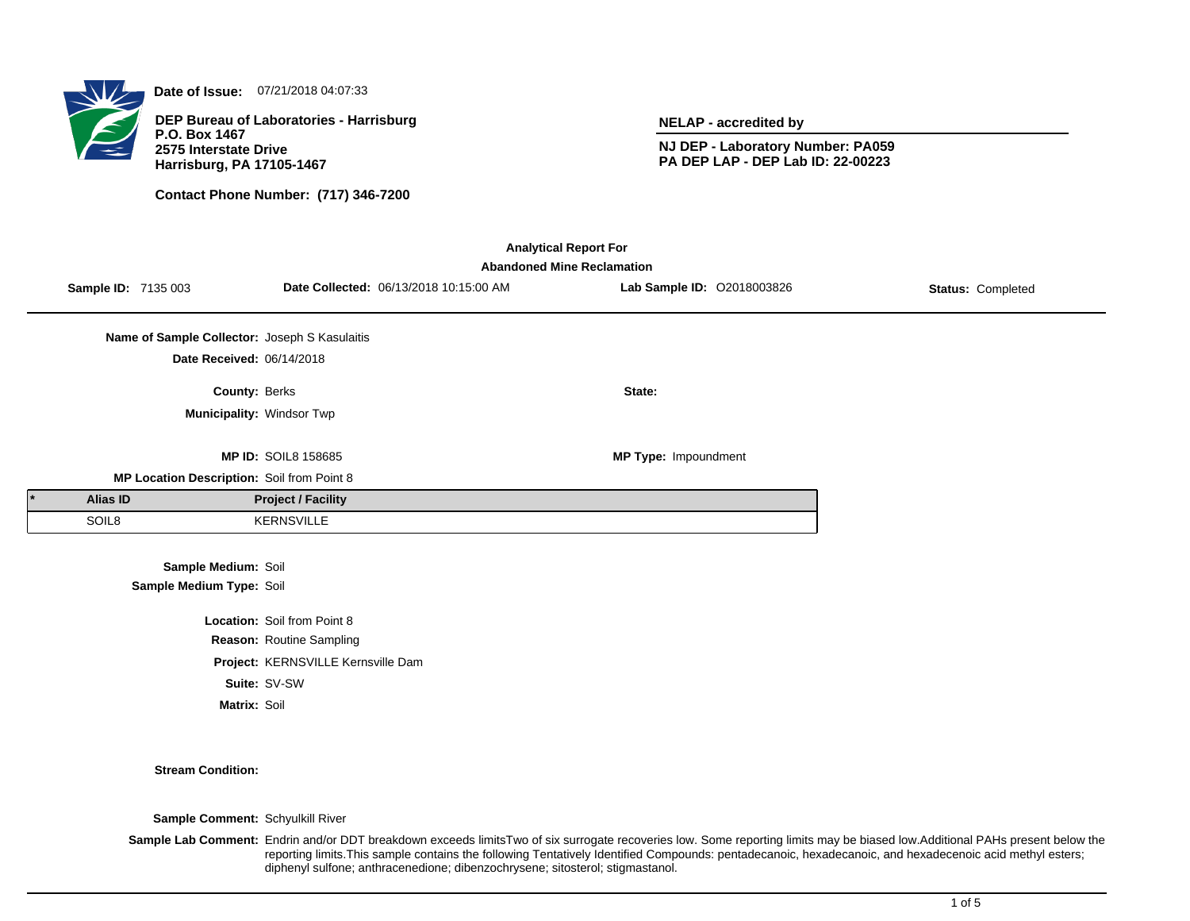

**Date of Issue:** 07/21/2018 04:07:33

**DEP Bureau of Laboratories - Harrisburg P.O. Box 1467 2575 Interstate Drive Harrisburg, PA 17105-1467**

**Contact Phone Number: (717) 346-7200**

**NELAP - accredited by**

**NJ DEP - Laboratory Number: PA059 PA DEP LAP - DEP Lab ID: 22-00223**

| <b>Analytical Report For</b>                                                                                                                          |                                               |                                    |  |                             |  |  |  |
|-------------------------------------------------------------------------------------------------------------------------------------------------------|-----------------------------------------------|------------------------------------|--|-----------------------------|--|--|--|
| <b>Abandoned Mine Reclamation</b><br>Lab Sample ID: 02018003826<br>Sample ID: 7135 003<br>Date Collected: 06/13/2018 10:15:00 AM<br>Status: Completed |                                               |                                    |  |                             |  |  |  |
|                                                                                                                                                       |                                               |                                    |  |                             |  |  |  |
|                                                                                                                                                       | Name of Sample Collector: Joseph S Kasulaitis |                                    |  |                             |  |  |  |
|                                                                                                                                                       | Date Received: 06/14/2018                     |                                    |  |                             |  |  |  |
|                                                                                                                                                       | County: Berks                                 |                                    |  | State:                      |  |  |  |
|                                                                                                                                                       | Municipality: Windsor Twp                     |                                    |  |                             |  |  |  |
|                                                                                                                                                       |                                               |                                    |  |                             |  |  |  |
|                                                                                                                                                       |                                               | <b>MP ID: SOIL8 158685</b>         |  | <b>MP Type: Impoundment</b> |  |  |  |
|                                                                                                                                                       | MP Location Description: Soil from Point 8    |                                    |  |                             |  |  |  |
| <b>Alias ID</b>                                                                                                                                       |                                               | <b>Project / Facility</b>          |  |                             |  |  |  |
| SOIL8                                                                                                                                                 |                                               | <b>KERNSVILLE</b>                  |  |                             |  |  |  |
|                                                                                                                                                       |                                               |                                    |  |                             |  |  |  |
|                                                                                                                                                       | Sample Medium: Soil                           |                                    |  |                             |  |  |  |
|                                                                                                                                                       | Sample Medium Type: Soil                      |                                    |  |                             |  |  |  |
|                                                                                                                                                       |                                               | <b>Location: Soil from Point 8</b> |  |                             |  |  |  |
|                                                                                                                                                       |                                               | Reason: Routine Sampling           |  |                             |  |  |  |
|                                                                                                                                                       | Project: KERNSVILLE Kernsville Dam            |                                    |  |                             |  |  |  |
|                                                                                                                                                       |                                               | Suite: SV-SW                       |  |                             |  |  |  |

**Matrix:** Soil

**Stream Condition:**

**Sample Comment:** Schyulkill River

**Sample Lab Comment:** Endrin and/or DDT breakdown exceeds limitsTwo of six surrogate recoveries low. Some reporting limits may be biased low.Additional PAHs present below the reporting limits.This sample contains the following Tentatively Identified Compounds: pentadecanoic, hexadecanoic, and hexadecenoic acid methyl esters; diphenyl sulfone; anthracenedione; dibenzochrysene; sitosterol; stigmastanol.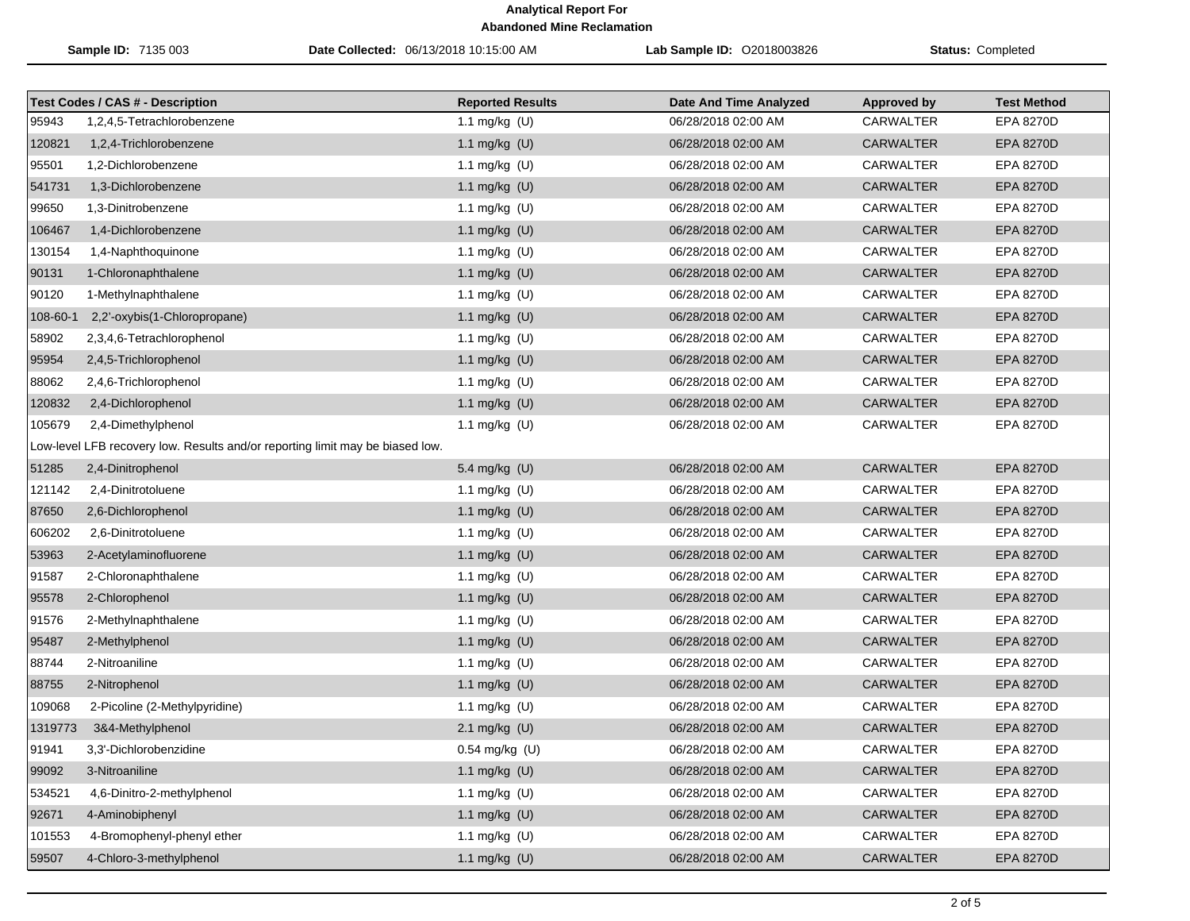| Sample ID: 7135 003 |                                                                               | Date Collected: 06/13/2018 10:15:00 AM | Lab Sample ID: 02018003826    | <b>Status: Completed</b> |                    |
|---------------------|-------------------------------------------------------------------------------|----------------------------------------|-------------------------------|--------------------------|--------------------|
|                     | <b>Test Codes / CAS # - Description</b>                                       | <b>Reported Results</b>                | <b>Date And Time Analyzed</b> | <b>Approved by</b>       | <b>Test Method</b> |
| 95943               | 1,2,4,5-Tetrachlorobenzene                                                    | 1.1 mg/kg (U)                          | 06/28/2018 02:00 AM           | <b>CARWALTER</b>         | EPA 8270D          |
| 120821              | 1,2,4-Trichlorobenzene                                                        | 1.1 mg/kg $(U)$                        | 06/28/2018 02:00 AM           | <b>CARWALTER</b>         | EPA 8270D          |
| 95501               | 1,2-Dichlorobenzene                                                           | 1.1 mg/kg (U)                          | 06/28/2018 02:00 AM           | CARWALTER                | <b>EPA 8270D</b>   |
| 541731              | 1,3-Dichlorobenzene                                                           | 1.1 mg/kg (U)                          | 06/28/2018 02:00 AM           | <b>CARWALTER</b>         | <b>EPA 8270D</b>   |
| 99650               | 1,3-Dinitrobenzene                                                            | 1.1 mg/kg (U)                          | 06/28/2018 02:00 AM           | <b>CARWALTER</b>         | <b>EPA 8270D</b>   |
| 106467              | 1,4-Dichlorobenzene                                                           | 1.1 mg/kg (U)                          | 06/28/2018 02:00 AM           | <b>CARWALTER</b>         | <b>EPA 8270D</b>   |
| 130154              | 1,4-Naphthoquinone                                                            | 1.1 mg/kg (U)                          | 06/28/2018 02:00 AM           | CARWALTER                | EPA 8270D          |
| 90131               | 1-Chloronaphthalene                                                           | 1.1 mg/kg (U)                          | 06/28/2018 02:00 AM           | <b>CARWALTER</b>         | EPA 8270D          |
| 90120               | 1-Methylnaphthalene                                                           | 1.1 mg/kg (U)                          | 06/28/2018 02:00 AM           | CARWALTER                | EPA 8270D          |
| 108-60-1            | 2,2'-oxybis(1-Chloropropane)                                                  | 1.1 mg/kg (U)                          | 06/28/2018 02:00 AM           | <b>CARWALTER</b>         | <b>EPA 8270D</b>   |
| 58902               | 2,3,4,6-Tetrachlorophenol                                                     | 1.1 mg/kg (U)                          | 06/28/2018 02:00 AM           | <b>CARWALTER</b>         | <b>EPA 8270D</b>   |
| 95954               | 2,4,5-Trichlorophenol                                                         | 1.1 mg/kg (U)                          | 06/28/2018 02:00 AM           | CARWALTER                | <b>EPA 8270D</b>   |
| 88062               | 2,4,6-Trichlorophenol                                                         | 1.1 mg/kg (U)                          | 06/28/2018 02:00 AM           | CARWALTER                | <b>EPA 8270D</b>   |
| 120832              | 2,4-Dichlorophenol                                                            | 1.1 mg/kg (U)                          | 06/28/2018 02:00 AM           | <b>CARWALTER</b>         | <b>EPA 8270D</b>   |
| 105679              | 2,4-Dimethylphenol                                                            | 1.1 mg/kg (U)                          | 06/28/2018 02:00 AM           | <b>CARWALTER</b>         | EPA 8270D          |
|                     | Low-level LFB recovery low. Results and/or reporting limit may be biased low. |                                        |                               |                          |                    |
| 51285               | 2,4-Dinitrophenol                                                             | 5.4 mg/kg (U)                          | 06/28/2018 02:00 AM           | <b>CARWALTER</b>         | <b>EPA 8270D</b>   |
| 121142              | 2,4-Dinitrotoluene                                                            | 1.1 mg/kg $(U)$                        | 06/28/2018 02:00 AM           | CARWALTER                | EPA 8270D          |
| 87650               | 2,6-Dichlorophenol                                                            | 1.1 mg/kg (U)                          | 06/28/2018 02:00 AM           | <b>CARWALTER</b>         | <b>EPA 8270D</b>   |
| 606202              | 2,6-Dinitrotoluene                                                            | 1.1 mg/kg (U)                          | 06/28/2018 02:00 AM           | <b>CARWALTER</b>         | EPA 8270D          |
| 53963               | 2-Acetylaminofluorene                                                         | 1.1 mg/kg (U)                          | 06/28/2018 02:00 AM           | <b>CARWALTER</b>         | <b>EPA 8270D</b>   |
| 91587               | 2-Chloronaphthalene                                                           | 1.1 mg/kg (U)                          | 06/28/2018 02:00 AM           | CARWALTER                | EPA 8270D          |
| 95578               | 2-Chlorophenol                                                                | 1.1 mg/kg (U)                          | 06/28/2018 02:00 AM           | <b>CARWALTER</b>         | EPA 8270D          |
| 91576               | 2-Methylnaphthalene                                                           | 1.1 mg/kg (U)                          | 06/28/2018 02:00 AM           | CARWALTER                | EPA 8270D          |
| 95487               | 2-Methylphenol                                                                | 1.1 mg/kg (U)                          | 06/28/2018 02:00 AM           | <b>CARWALTER</b>         | <b>EPA 8270D</b>   |
| 88744               | 2-Nitroaniline                                                                | 1.1 mg/kg (U)                          | 06/28/2018 02:00 AM           | <b>CARWALTER</b>         | <b>EPA 8270D</b>   |
| 88755               | 2-Nitrophenol                                                                 | 1.1 mg/kg (U)                          | 06/28/2018 02:00 AM           | CARWALTER                | <b>EPA 8270D</b>   |
| 109068              | 2-Picoline (2-Methylpyridine)                                                 | 1.1 mg/kg (U)                          | 06/28/2018 02:00 AM           | CARWALTER                | EPA 8270D          |
| 1319773             | 3&4-Methylphenol                                                              | 2.1 mg/kg $(U)$                        | 06/28/2018 02:00 AM           | <b>CARWALTER</b>         | <b>EPA 8270D</b>   |
| 91941               | 3,3'-Dichlorobenzidine                                                        | 0.54 mg/kg (U)                         | 06/28/2018 02:00 AM           | CARWALTER                | EPA 8270D          |
| 99092               | 3-Nitroaniline                                                                | 1.1 mg/kg (U)                          | 06/28/2018 02:00 AM           | <b>CARWALTER</b>         | <b>EPA 8270D</b>   |
| 534521              | 4,6-Dinitro-2-methylphenol                                                    | 1.1 mg/kg $(U)$                        | 06/28/2018 02:00 AM           | <b>CARWALTER</b>         | EPA 8270D          |
| 92671               | 4-Aminobiphenyl                                                               | 1.1 mg/kg (U)                          | 06/28/2018 02:00 AM           | <b>CARWALTER</b>         | <b>EPA 8270D</b>   |
| 101553              | 4-Bromophenyl-phenyl ether                                                    | 1.1 mg/kg $(U)$                        | 06/28/2018 02:00 AM           | <b>CARWALTER</b>         | EPA 8270D          |
| 59507               | 4-Chloro-3-methylphenol                                                       | 1.1 mg/kg (U)                          | 06/28/2018 02:00 AM           | CARWALTER                | EPA 8270D          |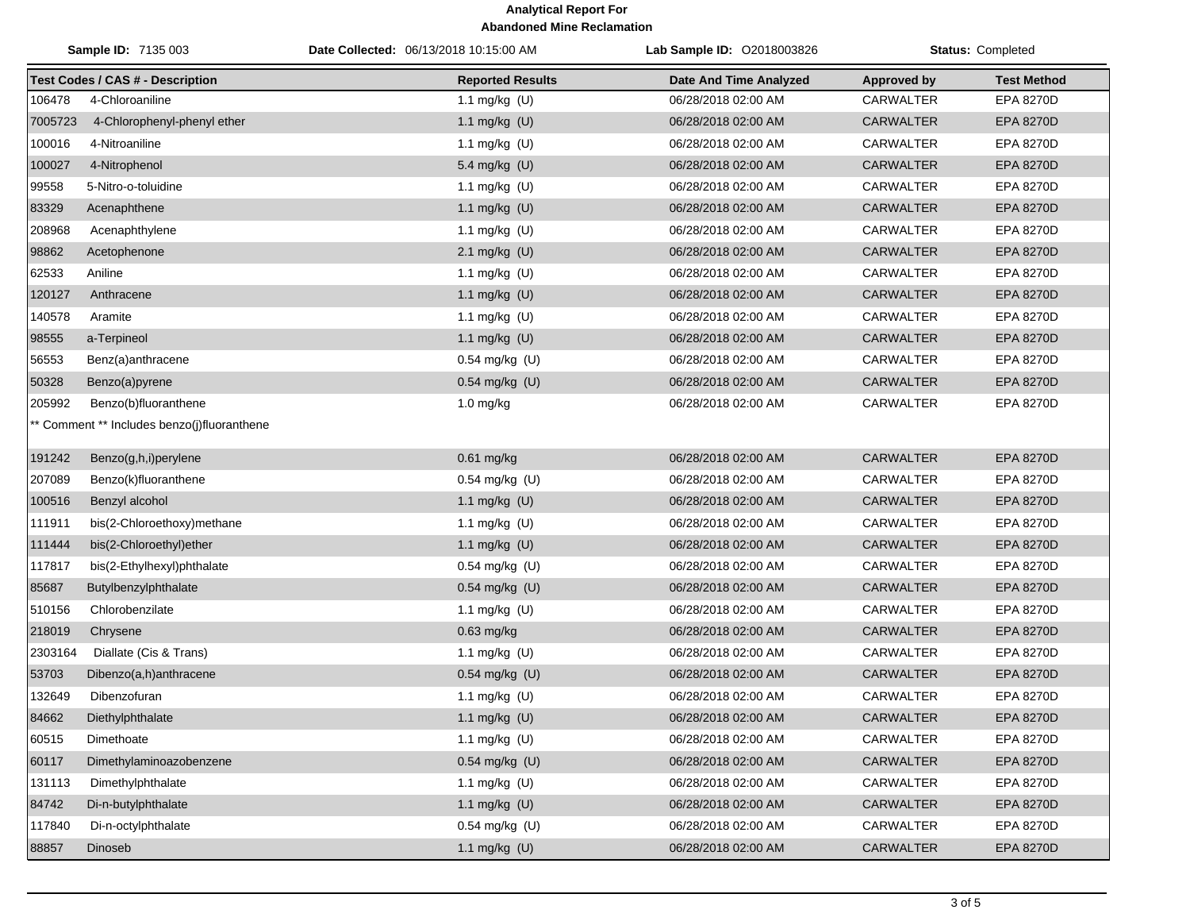| Sample ID: 7135 003 |                                             | Date Collected: 06/13/2018 10:15:00 AM | <b>Lab Sample ID: 02018003826</b> | <b>Status: Completed</b> |                    |
|---------------------|---------------------------------------------|----------------------------------------|-----------------------------------|--------------------------|--------------------|
|                     | <b>Test Codes / CAS # - Description</b>     | <b>Reported Results</b>                | <b>Date And Time Analyzed</b>     | <b>Approved by</b>       | <b>Test Method</b> |
| 106478              | 4-Chloroaniline                             | 1.1 mg/kg $(U)$                        | 06/28/2018 02:00 AM               | <b>CARWALTER</b>         | EPA 8270D          |
| 7005723             | 4-Chlorophenyl-phenyl ether                 | 1.1 mg/kg (U)                          | 06/28/2018 02:00 AM               | <b>CARWALTER</b>         | EPA 8270D          |
| 100016              | 4-Nitroaniline                              | 1.1 mg/kg (U)                          | 06/28/2018 02:00 AM               | CARWALTER                | EPA 8270D          |
| 100027              | 4-Nitrophenol                               | 5.4 mg/kg (U)                          | 06/28/2018 02:00 AM               | <b>CARWALTER</b>         | EPA 8270D          |
| 99558               | 5-Nitro-o-toluidine                         | 1.1 mg/kg (U)                          | 06/28/2018 02:00 AM               | CARWALTER                | EPA 8270D          |
| 83329               | Acenaphthene                                | 1.1 mg/kg (U)                          | 06/28/2018 02:00 AM               | <b>CARWALTER</b>         | <b>EPA 8270D</b>   |
| 208968              | Acenaphthylene                              | 1.1 mg/kg (U)                          | 06/28/2018 02:00 AM               | <b>CARWALTER</b>         | EPA 8270D          |
| 98862               | Acetophenone                                | 2.1 mg/kg (U)                          | 06/28/2018 02:00 AM               | <b>CARWALTER</b>         | <b>EPA 8270D</b>   |
| 62533               | Aniline                                     | 1.1 mg/kg (U)                          | 06/28/2018 02:00 AM               | CARWALTER                | EPA 8270D          |
| 120127              | Anthracene                                  | 1.1 mg/kg (U)                          | 06/28/2018 02:00 AM               | <b>CARWALTER</b>         | EPA 8270D          |
| 140578              | Aramite                                     | 1.1 mg/kg (U)                          | 06/28/2018 02:00 AM               | <b>CARWALTER</b>         | EPA 8270D          |
| 98555               | a-Terpineol                                 | 1.1 mg/kg $(U)$                        | 06/28/2018 02:00 AM               | <b>CARWALTER</b>         | EPA 8270D          |
| 56553               | Benz(a)anthracene                           | $0.54$ mg/kg (U)                       | 06/28/2018 02:00 AM               | <b>CARWALTER</b>         | EPA 8270D          |
| 50328               | Benzo(a)pyrene                              | 0.54 mg/kg (U)                         | 06/28/2018 02:00 AM               | <b>CARWALTER</b>         | EPA 8270D          |
| 205992              | Benzo(b)fluoranthene                        | $1.0$ mg/kg                            | 06/28/2018 02:00 AM               | CARWALTER                | <b>EPA 8270D</b>   |
|                     | ** Comment ** Includes benzo(j)fluoranthene |                                        |                                   |                          |                    |
| 191242              | Benzo(g,h,i)perylene                        | $0.61$ mg/kg                           | 06/28/2018 02:00 AM               | <b>CARWALTER</b>         | <b>EPA 8270D</b>   |
| 207089              | Benzo(k)fluoranthene                        | $0.54$ mg/kg (U)                       | 06/28/2018 02:00 AM               | CARWALTER                | EPA 8270D          |
| 100516              | Benzyl alcohol                              | 1.1 mg/kg (U)                          | 06/28/2018 02:00 AM               | <b>CARWALTER</b>         | EPA 8270D          |
| 111911              | bis(2-Chloroethoxy)methane                  | 1.1 mg/kg (U)                          | 06/28/2018 02:00 AM               | <b>CARWALTER</b>         | EPA 8270D          |
| 111444              | bis(2-Chloroethyl)ether                     | 1.1 mg/kg (U)                          | 06/28/2018 02:00 AM               | <b>CARWALTER</b>         | EPA 8270D          |
| 117817              | bis(2-Ethylhexyl)phthalate                  | 0.54 mg/kg (U)                         | 06/28/2018 02:00 AM               | CARWALTER                | EPA 8270D          |
| 85687               | Butylbenzylphthalate                        | 0.54 mg/kg (U)                         | 06/28/2018 02:00 AM               | <b>CARWALTER</b>         | <b>EPA 8270D</b>   |
| 510156              | Chlorobenzilate                             | 1.1 mg/kg $(U)$                        | 06/28/2018 02:00 AM               | CARWALTER                | EPA 8270D          |
| 218019              | Chrysene                                    | 0.63 mg/kg                             | 06/28/2018 02:00 AM               | <b>CARWALTER</b>         | <b>EPA 8270D</b>   |
| 2303164             | Diallate (Cis & Trans)                      | 1.1 mg/kg $(U)$                        | 06/28/2018 02:00 AM               | CARWALTER                | EPA 8270D          |
| 53703               | Dibenzo(a,h)anthracene                      | 0.54 mg/kg (U)                         | 06/28/2018 02:00 AM               | <b>CARWALTER</b>         | EPA 8270D          |
| 132649              | Dibenzofuran                                | 1.1 mg/kg $(U)$                        | 06/28/2018 02:00 AM               | CARWALTER                | EPA 8270D          |
| 84662               | Diethylphthalate                            | 1.1 mg/kg (U)                          | 06/28/2018 02:00 AM               | CARWALTER                | EPA 8270D          |
| 60515               | Dimethoate                                  | 1.1 mg/kg $(U)$                        | 06/28/2018 02:00 AM               | CARWALTER                | EPA 8270D          |
| 60117               | Dimethylaminoazobenzene                     | 0.54 mg/kg (U)                         | 06/28/2018 02:00 AM               | CARWALTER                | EPA 8270D          |
| 131113              | Dimethylphthalate                           | 1.1 mg/kg $(U)$                        | 06/28/2018 02:00 AM               | CARWALTER                | EPA 8270D          |
| 84742               | Di-n-butylphthalate                         | 1.1 mg/kg (U)                          | 06/28/2018 02:00 AM               | <b>CARWALTER</b>         | EPA 8270D          |
| 117840              | Di-n-octylphthalate                         | $0.54$ mg/kg (U)                       | 06/28/2018 02:00 AM               | CARWALTER                | EPA 8270D          |
| 88857               | Dinoseb                                     | 1.1 mg/kg (U)                          | 06/28/2018 02:00 AM               | <b>CARWALTER</b>         | EPA 8270D          |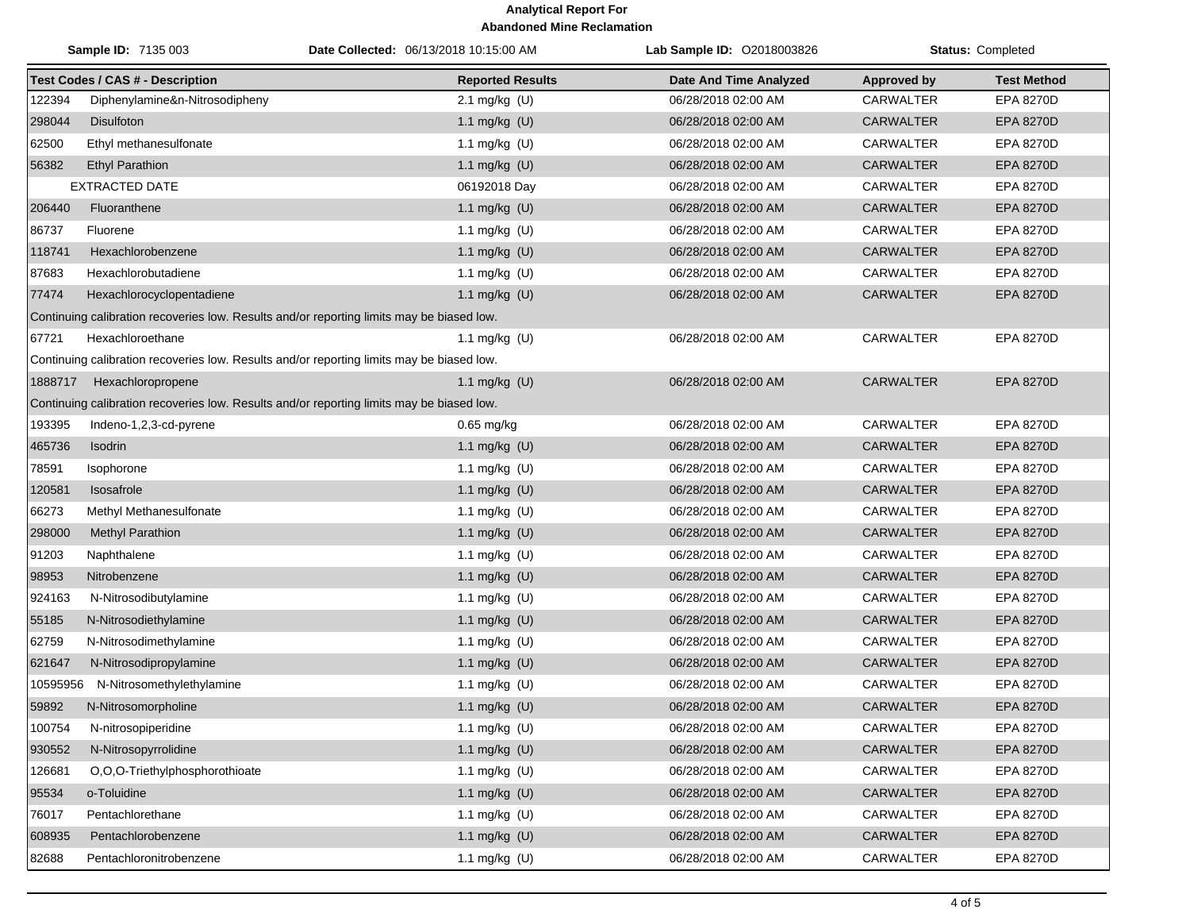|          | Sample ID: 7135 003                                                                       | Date Collected: 06/13/2018 10:15:00 AM | <b>Lab Sample ID: 02018003826</b> |                    | <b>Status: Completed</b> |
|----------|-------------------------------------------------------------------------------------------|----------------------------------------|-----------------------------------|--------------------|--------------------------|
|          | <b>Test Codes / CAS # - Description</b>                                                   | <b>Reported Results</b>                | <b>Date And Time Analyzed</b>     | <b>Approved by</b> | <b>Test Method</b>       |
| 122394   | Diphenylamine&n-Nitrosodipheny                                                            | 2.1 mg/kg (U)                          | 06/28/2018 02:00 AM               | <b>CARWALTER</b>   | <b>EPA 8270D</b>         |
| 298044   | <b>Disulfoton</b>                                                                         | 1.1 mg/kg (U)                          | 06/28/2018 02:00 AM               | <b>CARWALTER</b>   | EPA 8270D                |
| 62500    | Ethyl methanesulfonate                                                                    | 1.1 mg/kg $(U)$                        | 06/28/2018 02:00 AM               | <b>CARWALTER</b>   | <b>EPA 8270D</b>         |
| 56382    | <b>Ethyl Parathion</b>                                                                    | 1.1 mg/kg (U)                          | 06/28/2018 02:00 AM               | <b>CARWALTER</b>   | EPA 8270D                |
|          | <b>EXTRACTED DATE</b>                                                                     | 06192018 Day                           | 06/28/2018 02:00 AM               | <b>CARWALTER</b>   | EPA 8270D                |
| 206440   | Fluoranthene                                                                              | 1.1 mg/kg (U)                          | 06/28/2018 02:00 AM               | <b>CARWALTER</b>   | EPA 8270D                |
| 86737    | Fluorene                                                                                  | 1.1 mg/kg (U)                          | 06/28/2018 02:00 AM               | <b>CARWALTER</b>   | <b>EPA 8270D</b>         |
| 118741   | Hexachlorobenzene                                                                         | 1.1 mg/kg (U)                          | 06/28/2018 02:00 AM               | <b>CARWALTER</b>   | <b>EPA 8270D</b>         |
| 87683    | Hexachlorobutadiene                                                                       | 1.1 mg/kg (U)                          | 06/28/2018 02:00 AM               | <b>CARWALTER</b>   | <b>EPA 8270D</b>         |
| 77474    | Hexachlorocyclopentadiene                                                                 | 1.1 mg/kg (U)                          | 06/28/2018 02:00 AM               | <b>CARWALTER</b>   | <b>EPA 8270D</b>         |
|          | Continuing calibration recoveries low. Results and/or reporting limits may be biased low. |                                        |                                   |                    |                          |
| 67721    | Hexachloroethane                                                                          | 1.1 mg/kg $(U)$                        | 06/28/2018 02:00 AM               | CARWALTER          | <b>EPA 8270D</b>         |
|          | Continuing calibration recoveries low. Results and/or reporting limits may be biased low. |                                        |                                   |                    |                          |
| 1888717  | Hexachloropropene                                                                         | 1.1 mg/kg $(U)$                        | 06/28/2018 02:00 AM               | <b>CARWALTER</b>   | <b>EPA 8270D</b>         |
|          | Continuing calibration recoveries low. Results and/or reporting limits may be biased low. |                                        |                                   |                    |                          |
| 193395   | Indeno-1,2,3-cd-pyrene                                                                    | $0.65$ mg/kg                           | 06/28/2018 02:00 AM               | <b>CARWALTER</b>   | EPA 8270D                |
| 465736   | Isodrin                                                                                   | 1.1 mg/kg (U)                          | 06/28/2018 02:00 AM               | <b>CARWALTER</b>   | <b>EPA 8270D</b>         |
| 78591    | Isophorone                                                                                | 1.1 mg/kg $(U)$                        | 06/28/2018 02:00 AM               | <b>CARWALTER</b>   | <b>EPA 8270D</b>         |
| 120581   | Isosafrole                                                                                | 1.1 mg/kg (U)                          | 06/28/2018 02:00 AM               | <b>CARWALTER</b>   | EPA 8270D                |
| 66273    | Methyl Methanesulfonate                                                                   | 1.1 mg/kg (U)                          | 06/28/2018 02:00 AM               | CARWALTER          | <b>EPA 8270D</b>         |
| 298000   | <b>Methyl Parathion</b>                                                                   | 1.1 mg/kg (U)                          | 06/28/2018 02:00 AM               | <b>CARWALTER</b>   | EPA 8270D                |
| 91203    | Naphthalene                                                                               | 1.1 mg/kg (U)                          | 06/28/2018 02:00 AM               | CARWALTER          | <b>EPA 8270D</b>         |
| 98953    | Nitrobenzene                                                                              | 1.1 mg/kg (U)                          | 06/28/2018 02:00 AM               | <b>CARWALTER</b>   | <b>EPA 8270D</b>         |
| 924163   | N-Nitrosodibutylamine                                                                     | 1.1 mg/kg (U)                          | 06/28/2018 02:00 AM               | <b>CARWALTER</b>   | EPA 8270D                |
| 55185    | N-Nitrosodiethylamine                                                                     | 1.1 mg/kg (U)                          | 06/28/2018 02:00 AM               | <b>CARWALTER</b>   | EPA 8270D                |
| 62759    | N-Nitrosodimethylamine                                                                    | 1.1 mg/kg (U)                          | 06/28/2018 02:00 AM               | <b>CARWALTER</b>   | EPA 8270D                |
| 621647   | N-Nitrosodipropylamine                                                                    | 1.1 mg/kg (U)                          | 06/28/2018 02:00 AM               | <b>CARWALTER</b>   | <b>EPA 8270D</b>         |
| 10595956 | N-Nitrosomethylethylamine                                                                 | 1.1 mg/kg (U)                          | 06/28/2018 02:00 AM               | CARWALTER          | EPA 8270D                |
| 59892    | N-Nitrosomorpholine                                                                       | 1.1 mg/kg (U)                          | 06/28/2018 02:00 AM               | <b>CARWALTER</b>   | <b>EPA 8270D</b>         |
| 100754   | N-nitrosopiperidine                                                                       | 1.1 mg/kg (U)                          | 06/28/2018 02:00 AM               | <b>CARWALTER</b>   | EPA 8270D                |
| 930552   | N-Nitrosopyrrolidine                                                                      | 1.1 mg/kg (U)                          | 06/28/2018 02:00 AM               | CARWALTER          | EPA 8270D                |
| 126681   | O,O,O-Triethylphosphorothioate                                                            | 1.1 mg/kg (U)                          | 06/28/2018 02:00 AM               | <b>CARWALTER</b>   | EPA 8270D                |
| 95534    | o-Toluidine                                                                               | 1.1 mg/kg (U)                          | 06/28/2018 02:00 AM               | CARWALTER          | EPA 8270D                |
| 76017    | Pentachlorethane                                                                          | 1.1 mg/kg (U)                          | 06/28/2018 02:00 AM               | <b>CARWALTER</b>   | EPA 8270D                |
| 608935   | Pentachlorobenzene                                                                        | 1.1 mg/kg (U)                          | 06/28/2018 02:00 AM               | CARWALTER          | EPA 8270D                |
| 82688    | Pentachloronitrobenzene                                                                   | 1.1 mg/kg (U)                          | 06/28/2018 02:00 AM               | CARWALTER          | EPA 8270D                |